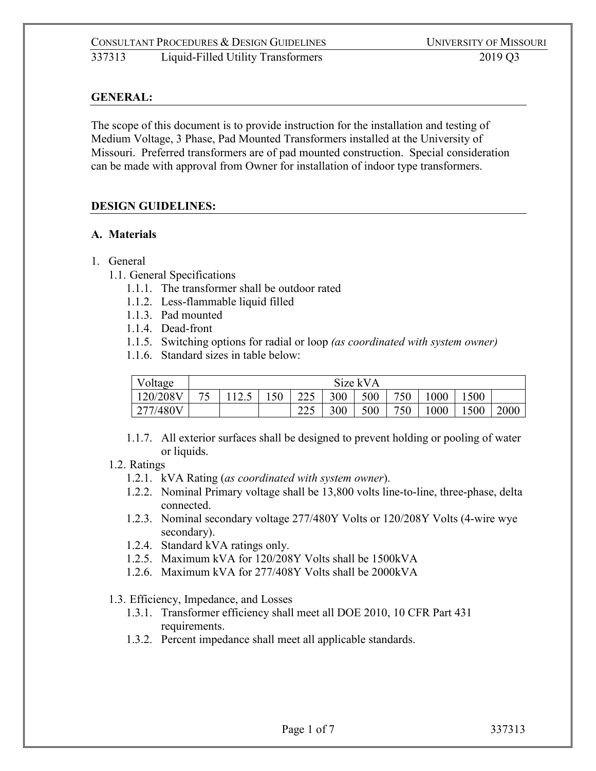## **GENERAL:**

The scope of this document is to provide instruction for the installation and testing of Medium Voltage, 3 Phase, Pad Mounted Transformers installed at the University of Missouri. Preferred transformers are of pad mounted construction. Special consideration can be made with approval from Owner for installation of indoor type transformers.

#### **DESIGN GUIDELINES:**

#### **A. Materials**

#### 1. General

- 1.1. General Specifications
	- 1.1.1. The transformer shall be outdoor rated
	- 1.1.2. Less-flammable liquid filled
	- 1.1.3. Pad mounted
	- 1.1.4. Dead-front
	- 1.1.5. Switching options for radial or loop *(as coordinated with system owner)*
	- 1.1.6. Standard sizes in table below:

| Voltage  | Size kVA |       |     |                   |     |     |     |      |     |      |
|----------|----------|-------|-----|-------------------|-----|-----|-----|------|-----|------|
| 120/208V | 75       | 112.5 | 150 | 225<br>ل کے ک     | 300 | 500 | 750 | 1000 | 500 |      |
| 277/480V |          |       |     | $\bigcap$<br>لەكك | 300 | 500 | 750 | 000  | 500 | 2000 |

1.1.7. All exterior surfaces shall be designed to prevent holding or pooling of water or liquids.

#### 1.2. Ratings

- 1.2.1. kVA Rating (*as coordinated with system owner*).
- 1.2.2. Nominal Primary voltage shall be 13,800 volts line-to-line, three-phase, delta connected.
- 1.2.3. Nominal secondary voltage 277/480Y Volts or 120/208Y Volts (4-wire wye secondary).
- 1.2.4. Standard kVA ratings only.
- 1.2.5. Maximum kVA for 120/208Y Volts shall be 1500kVA
- 1.2.6. Maximum kVA for 277/408Y Volts shall be 2000kVA

1.3. Efficiency, Impedance, and Losses

- 1.3.1. Transformer efficiency shall meet all DOE 2010, 10 CFR Part 431 requirements.
- 1.3.2. Percent impedance shall meet all applicable standards.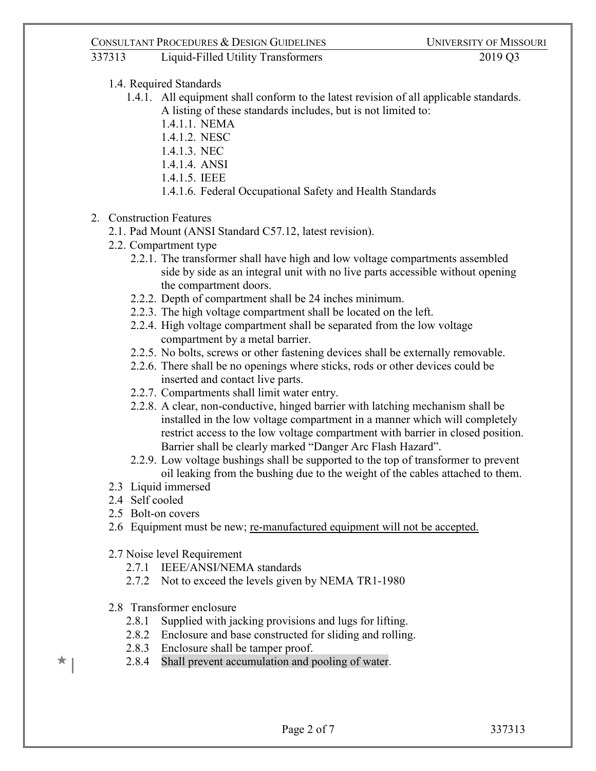# 337313 Liquid-Filled Utility Transformers 2019 Q3

- 1.4. Required Standards
	- 1.4.1. All equipment shall conform to the latest revision of all applicable standards. A listing of these standards includes, but is not limited to:
		- 1.4.1.1. NEMA
		- 1.4.1.2. NESC
		- 1.4.1.3. NEC
		- 1.4.1.4. ANSI
		- 1.4.1.5. IEEE
		- 1.4.1.6. Federal Occupational Safety and Health Standards
- 2. Construction Features
	- 2.1. Pad Mount (ANSI Standard C57.12, latest revision).
	- 2.2. Compartment type
		- 2.2.1. The transformer shall have high and low voltage compartments assembled side by side as an integral unit with no live parts accessible without opening the compartment doors.
		- 2.2.2. Depth of compartment shall be 24 inches minimum.
		- 2.2.3. The high voltage compartment shall be located on the left.
		- 2.2.4. High voltage compartment shall be separated from the low voltage compartment by a metal barrier.
		- 2.2.5. No bolts, screws or other fastening devices shall be externally removable.
		- 2.2.6. There shall be no openings where sticks, rods or other devices could be inserted and contact live parts.
		- 2.2.7. Compartments shall limit water entry.
		- 2.2.8. A clear, non-conductive, hinged barrier with latching mechanism shall be installed in the low voltage compartment in a manner which will completely restrict access to the low voltage compartment with barrier in closed position. Barrier shall be clearly marked "Danger Arc Flash Hazard".
		- 2.2.9. Low voltage bushings shall be supported to the top of transformer to prevent oil leaking from the bushing due to the weight of the cables attached to them.
	- 2.3 Liquid immersed
	- 2.4 Self cooled
	- 2.5 Bolt-on covers
	- 2.6 Equipment must be new; re-manufactured equipment will not be accepted.
	- 2.7 Noise level Requirement
		- 2.7.1 IEEE/ANSI/NEMA standards
		- 2.7.2 Not to exceed the levels given by NEMA TR1-1980
	- 2.8 Transformer enclosure
		- 2.8.1 Supplied with jacking provisions and lugs for lifting.
		- 2.8.2 Enclosure and base constructed for sliding and rolling.
		- 2.8.3 Enclosure shall be tamper proof.
		- 2.8.4 Shall prevent accumulation and pooling of water.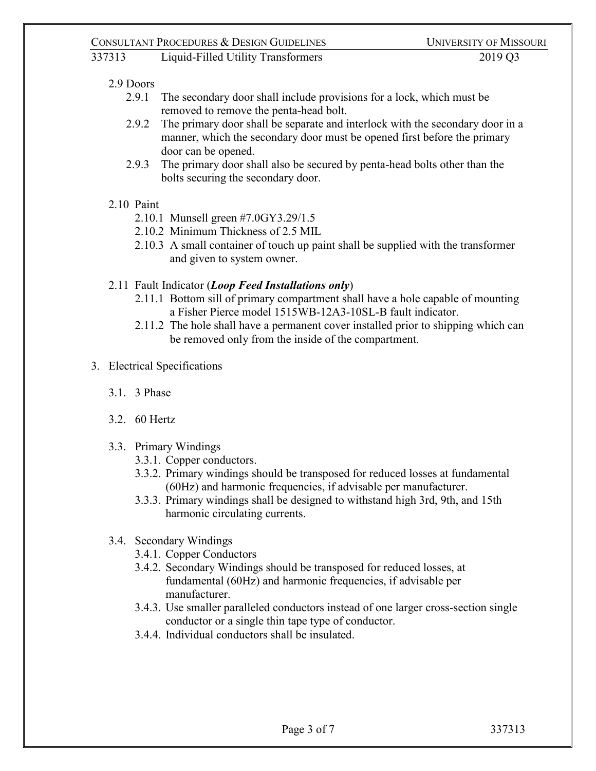#### 2.9 Doors

- 2.9.1 The secondary door shall include provisions for a lock, which must be removed to remove the penta-head bolt.
- 2.9.2 The primary door shall be separate and interlock with the secondary door in a manner, which the secondary door must be opened first before the primary door can be opened.
- 2.9.3 The primary door shall also be secured by penta-head bolts other than the bolts securing the secondary door.

#### 2.10 Paint

- 2.10.1 Munsell green #7.0GY3.29/1.5
- 2.10.2 Minimum Thickness of 2.5 MIL
- 2.10.3 A small container of touch up paint shall be supplied with the transformer and given to system owner.

#### 2.11 Fault Indicator (*Loop Feed Installations only*)

- 2.11.1 Bottom sill of primary compartment shall have a hole capable of mounting a Fisher Pierce model 1515WB-12A3-10SL-B fault indicator.
- 2.11.2 The hole shall have a permanent cover installed prior to shipping which can be removed only from the inside of the compartment.
- 3. Electrical Specifications
	- 3.1. 3 Phase
	- 3.2. 60 Hertz
	- 3.3. Primary Windings
		- 3.3.1. Copper conductors.
		- 3.3.2. Primary windings should be transposed for reduced losses at fundamental (60Hz) and harmonic frequencies, if advisable per manufacturer.
		- 3.3.3. Primary windings shall be designed to withstand high 3rd, 9th, and 15th harmonic circulating currents.

#### 3.4. Secondary Windings

- 3.4.1. Copper Conductors
- 3.4.2. Secondary Windings should be transposed for reduced losses, at fundamental (60Hz) and harmonic frequencies, if advisable per manufacturer.
- 3.4.3. Use smaller paralleled conductors instead of one larger cross-section single conductor or a single thin tape type of conductor.
- 3.4.4. Individual conductors shall be insulated.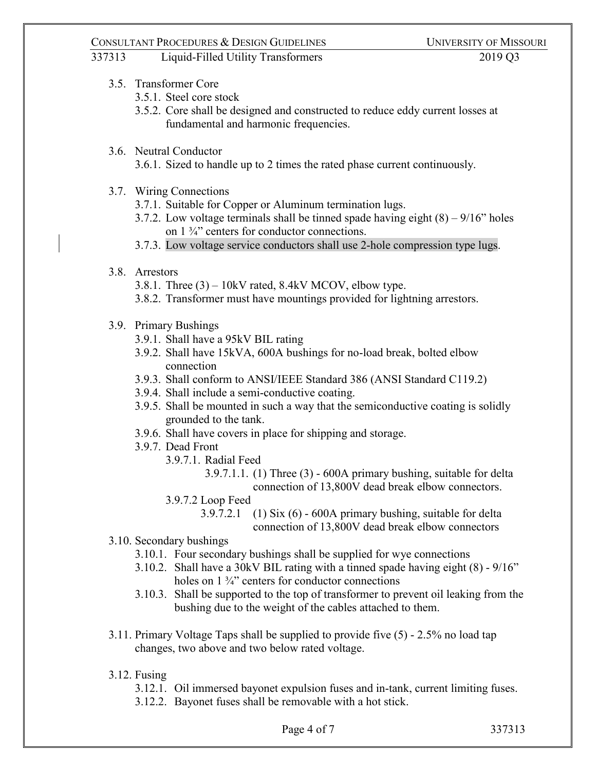# 337313 Liquid-Filled Utility Transformers 2019 Q3

- 3.5. Transformer Core
	- 3.5.1. Steel core stock
	- 3.5.2. Core shall be designed and constructed to reduce eddy current losses at fundamental and harmonic frequencies.

#### 3.6. Neutral Conductor

3.6.1. Sized to handle up to 2 times the rated phase current continuously.

- 3.7. Wiring Connections
	- 3.7.1. Suitable for Copper or Aluminum termination lugs.
	- 3.7.2. Low voltage terminals shall be tinned spade having eight  $(8) 9/16$ " holes on 1 ¾" centers for conductor connections.
	- 3.7.3. Low voltage service conductors shall use 2-hole compression type lugs.

#### 3.8. Arrestors

- 3.8.1. Three  $(3) 10$ kV rated, 8.4kV MCOV, elbow type.
- 3.8.2. Transformer must have mountings provided for lightning arrestors.
- 3.9. Primary Bushings
	- 3.9.1. Shall have a 95kV BIL rating
	- 3.9.2. Shall have 15kVA, 600A bushings for no-load break, bolted elbow connection
	- 3.9.3. Shall conform to ANSI/IEEE Standard 386 (ANSI Standard C119.2)
	- 3.9.4. Shall include a semi-conductive coating.
	- 3.9.5. Shall be mounted in such a way that the semiconductive coating is solidly grounded to the tank.
	- 3.9.6. Shall have covers in place for shipping and storage.
	- 3.9.7. Dead Front
		- 3.9.7.1. Radial Feed
			- 3.9.7.1.1. (1) Three (3) 600A primary bushing, suitable for delta connection of 13,800V dead break elbow connectors.
		- 3.9.7.2 Loop Feed
			- 3.9.7.2.1 (1) Six (6) 600A primary bushing, suitable for delta connection of 13,800V dead break elbow connectors
- 3.10. Secondary bushings
	- 3.10.1. Four secondary bushings shall be supplied for wye connections
	- 3.10.2. Shall have a 30kV BIL rating with a tinned spade having eight (8) 9/16" holes on 1  $\frac{3}{4}$ " centers for conductor connections
	- 3.10.3. Shall be supported to the top of transformer to prevent oil leaking from the bushing due to the weight of the cables attached to them.
- 3.11. Primary Voltage Taps shall be supplied to provide five (5) 2.5% no load tap changes, two above and two below rated voltage.
- 3.12. Fusing
	- 3.12.1. Oil immersed bayonet expulsion fuses and in-tank, current limiting fuses.
	- 3.12.2. Bayonet fuses shall be removable with a hot stick.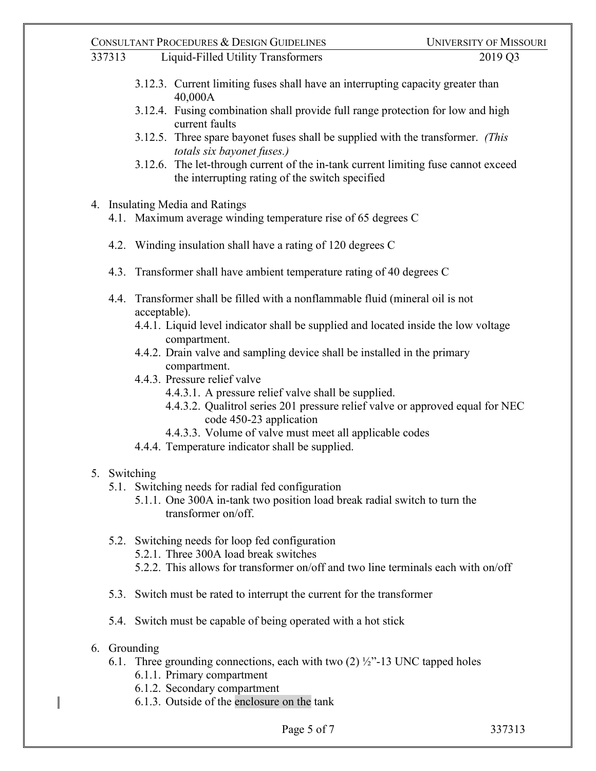# 337313 Liquid-Filled Utility Transformers 2019 Q3

- 3.12.3. Current limiting fuses shall have an interrupting capacity greater than 40,000A
- 3.12.4. Fusing combination shall provide full range protection for low and high current faults
- 3.12.5. Three spare bayonet fuses shall be supplied with the transformer. *(This totals six bayonet fuses.)*
- 3.12.6. The let-through current of the in-tank current limiting fuse cannot exceed the interrupting rating of the switch specified
- 4. Insulating Media and Ratings
	- 4.1. Maximum average winding temperature rise of 65 degrees C
	- 4.2. Winding insulation shall have a rating of 120 degrees C
	- 4.3. Transformer shall have ambient temperature rating of 40 degrees C
	- 4.4. Transformer shall be filled with a nonflammable fluid (mineral oil is not acceptable).
		- 4.4.1. Liquid level indicator shall be supplied and located inside the low voltage compartment.
		- 4.4.2. Drain valve and sampling device shall be installed in the primary compartment.
		- 4.4.3. Pressure relief valve
			- 4.4.3.1. A pressure relief valve shall be supplied.
			- 4.4.3.2. Qualitrol series 201 pressure relief valve or approved equal for NEC code 450-23 application
			- 4.4.3.3. Volume of valve must meet all applicable codes
		- 4.4.4. Temperature indicator shall be supplied.

# 5. Switching

- 5.1. Switching needs for radial fed configuration
	- 5.1.1. One 300A in-tank two position load break radial switch to turn the transformer on/off.
- 5.2. Switching needs for loop fed configuration
	- 5.2.1. Three 300A load break switches
	- 5.2.2. This allows for transformer on/off and two line terminals each with on/off
- 5.3. Switch must be rated to interrupt the current for the transformer
- 5.4. Switch must be capable of being operated with a hot stick
- 6. Grounding

I

- 6.1. Three grounding connections, each with two  $(2)$   $\frac{1}{2}$ "-13 UNC tapped holes
	- 6.1.1. Primary compartment
	- 6.1.2. Secondary compartment
	- 6.1.3. Outside of the enclosure on the tank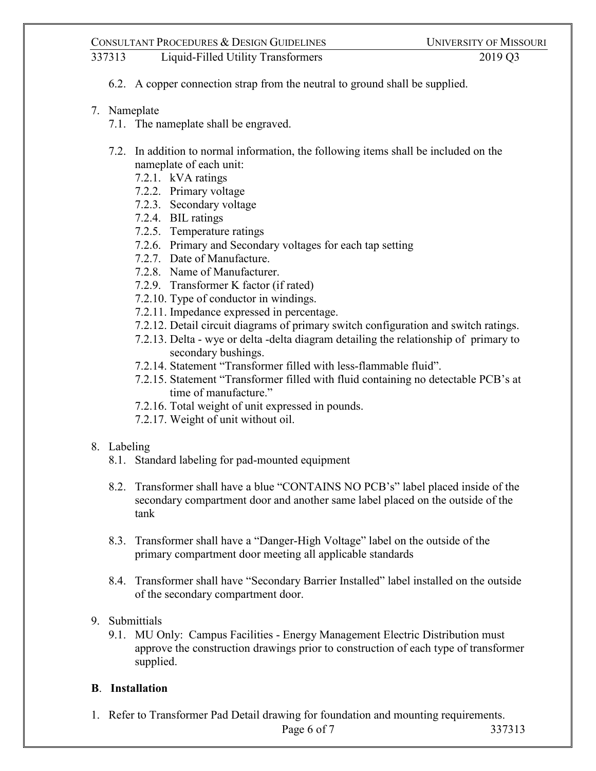337313 Liquid-Filled Utility Transformers 2019 Q3

- 6.2. A copper connection strap from the neutral to ground shall be supplied.
- 7. Nameplate
	- 7.1. The nameplate shall be engraved.
	- 7.2. In addition to normal information, the following items shall be included on the nameplate of each unit:
		- 7.2.1. kVA ratings
		- 7.2.2. Primary voltage
		- 7.2.3. Secondary voltage
		- 7.2.4. BIL ratings
		- 7.2.5. Temperature ratings
		- 7.2.6. Primary and Secondary voltages for each tap setting
		- 7.2.7. Date of Manufacture.
		- 7.2.8. Name of Manufacturer.
		- 7.2.9. Transformer K factor (if rated)
		- 7.2.10. Type of conductor in windings.
		- 7.2.11. Impedance expressed in percentage.
		- 7.2.12. Detail circuit diagrams of primary switch configuration and switch ratings.
		- 7.2.13. Delta wye or delta -delta diagram detailing the relationship of primary to secondary bushings.
		- 7.2.14. Statement "Transformer filled with less-flammable fluid".
		- 7.2.15. Statement "Transformer filled with fluid containing no detectable PCB's at time of manufacture."
		- 7.2.16. Total weight of unit expressed in pounds.
		- 7.2.17. Weight of unit without oil.

#### 8. Labeling

- 8.1. Standard labeling for pad-mounted equipment
- 8.2. Transformer shall have a blue "CONTAINS NO PCB's" label placed inside of the secondary compartment door and another same label placed on the outside of the tank
- 8.3. Transformer shall have a "Danger-High Voltage" label on the outside of the primary compartment door meeting all applicable standards
- 8.4. Transformer shall have "Secondary Barrier Installed" label installed on the outside of the secondary compartment door.
- 9. Submittials
	- 9.1. MU Only: Campus Facilities Energy Management Electric Distribution must approve the construction drawings prior to construction of each type of transformer supplied.

# **B**. **Installation**

1. Refer to Transformer Pad Detail drawing for foundation and mounting requirements.

Page 6 of 7 337313